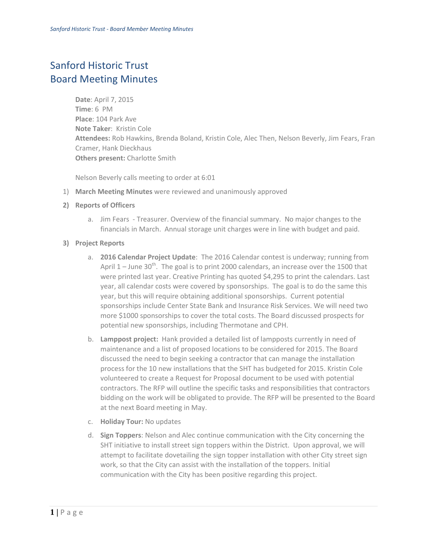## Sanford Historic Trust Board Meeting Minutes

**Date**: April 7, 2015 **Time**: 6 PM **Place**: 104 Park Ave **Note Taker**: Kristin Cole **Attendees:** Rob Hawkins, Brenda Boland, Kristin Cole, Alec Then, Nelson Beverly, Jim Fears, Fran Cramer, Hank Dieckhaus **Others present:** Charlotte Smith

Nelson Beverly calls meeting to order at 6:01

- 1) **March Meeting Minutes** were reviewed and unanimously approved
- **2) Reports of Officers**
	- a. Jim Fears Treasurer. Overview of the financial summary. No major changes to the financials in March. Annual storage unit charges were in line with budget and paid.
- **3) Project Reports**
	- a. **2016 Calendar Project Update**: The 2016 Calendar contest is underway; running from April  $1 -$  June 30<sup>th</sup>. The goal is to print 2000 calendars, an increase over the 1500 that were printed last year. Creative Printing has quoted \$4,295 to print the calendars. Last year, all calendar costs were covered by sponsorships. The goal is to do the same this year, but this will require obtaining additional sponsorships. Current potential sponsorships include Center State Bank and Insurance Risk Services. We will need two more \$1000 sponsorships to cover the total costs. The Board discussed prospects for potential new sponsorships, including Thermotane and CPH.
	- b. **Lamppost project:** Hank provided a detailed list of lampposts currently in need of maintenance and a list of proposed locations to be considered for 2015. The Board discussed the need to begin seeking a contractor that can manage the installation process for the 10 new installations that the SHT has budgeted for 2015. Kristin Cole volunteered to create a Request for Proposal document to be used with potential contractors. The RFP will outline the specific tasks and responsibilities that contractors bidding on the work will be obligated to provide. The RFP will be presented to the Board at the next Board meeting in May.
	- c. **Holiday Tour:** No updates
	- d. **Sign Toppers**: Nelson and Alec continue communication with the City concerning the SHT initiative to install street sign toppers within the District. Upon approval, we will attempt to facilitate dovetailing the sign topper installation with other City street sign work, so that the City can assist with the installation of the toppers. Initial communication with the City has been positive regarding this project.